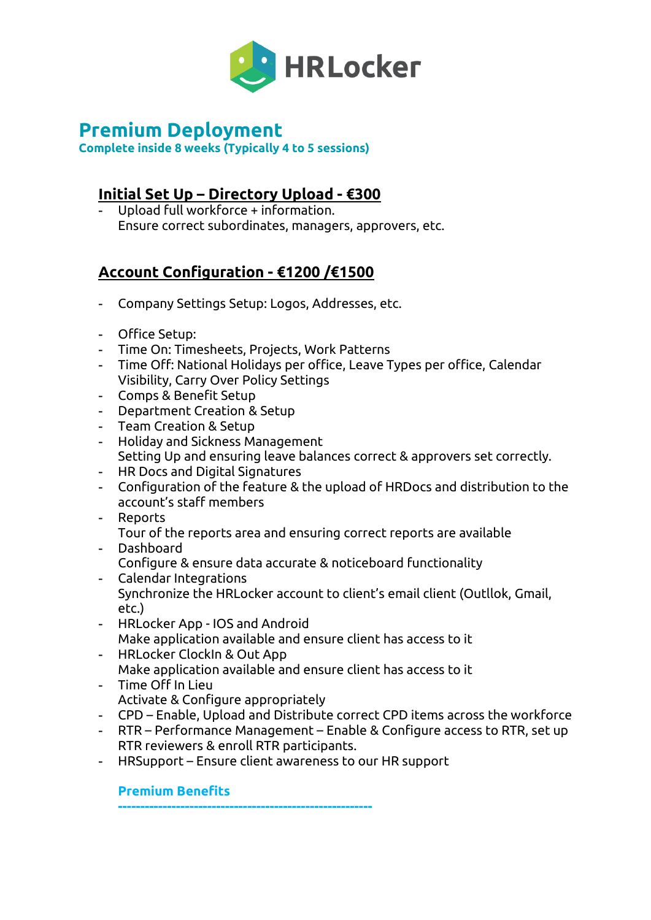

# **Premium Deployment**

**Complete inside 8 weeks (Typically 4 to 5 sessions)**

# **Initial Set Up – Directory Upload - €300**

- Upload full workforce + information. Ensure correct subordinates, managers, approvers, etc.

# **Account Configuration - €1200 /€1500**

- Company Settings Setup: Logos, Addresses, etc.
- Office Setup:
- Time On: Timesheets, Projects, Work Patterns
- Time Off: National Holidays per office, Leave Types per office, Calendar Visibility, Carry Over Policy Settings
- Comps & Benefit Setup
- Department Creation & Setup
- Team Creation & Setup
- Holiday and Sickness Management Setting Up and ensuring leave balances correct & approvers set correctly.
- HR Docs and Digital Signatures
- Configuration of the feature & the upload of HRDocs and distribution to the account's staff members
- Reports
- Tour of the reports area and ensuring correct reports are available - Dashboard
- Configure & ensure data accurate & noticeboard functionality
- Calendar Integrations Synchronize the HRLocker account to client's email client (Outllok, Gmail, etc.)
- HRLocker App IOS and Android Make application available and ensure client has access to it
- HRLocker ClockIn & Out App Make application available and ensure client has access to it
- Time Off In Lieu Activate & Configure appropriately
- CPD Enable, Upload and Distribute correct CPD items across the workforce
- RTR Performance Management Enable & Configure access to RTR, set up RTR reviewers & enroll RTR participants.
- HRSupport Ensure client awareness to our HR support

# **Premium Benefits**

**---------------------------------------------------------**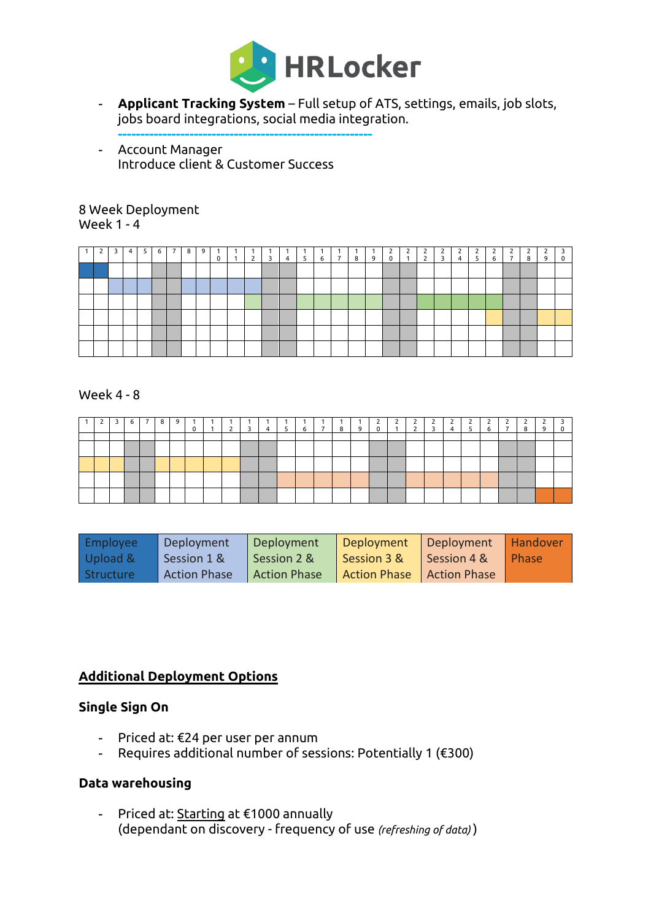

- **Applicant Tracking System** Full setup of ATS, settings, emails, job slots, jobs board integrations, social media integration.
- **---------------------------------------------------------** - Account Manager Introduce client & Customer Success

# Week Deployment Week 1 - 4

|  |  | 6 | 8 | 9 | $\blacksquare$ 0 | $\mathbf{1}$ | $2 \mid 3 \mid$ | 4 | $1.5-1$ |  | 6 7 8 9 | 2<br>$\overline{0}$ | $\overline{2}$<br>$\overline{1}$ | $2 \quad 3$ | $\overline{4}$ | 5 | 6 | $\overline{ }$ | 8 | 9 | $\overline{\mathbf{3}}$<br>$\mathbf 0$ |
|--|--|---|---|---|------------------|--------------|-----------------|---|---------|--|---------|---------------------|----------------------------------|-------------|----------------|---|---|----------------|---|---|----------------------------------------|
|  |  |   |   |   |                  |              |                 |   |         |  |         |                     |                                  |             |                |   |   |                |   |   |                                        |
|  |  |   |   |   |                  |              |                 |   |         |  |         |                     |                                  |             |                |   |   |                |   |   |                                        |
|  |  |   |   |   |                  |              |                 |   |         |  |         |                     |                                  |             |                |   |   |                |   |   |                                        |
|  |  |   |   |   |                  |              |                 |   |         |  |         |                     |                                  |             |                |   |   |                |   |   |                                        |
|  |  |   |   |   |                  |              |                 |   |         |  |         |                     |                                  |             |                |   |   |                |   |   |                                        |
|  |  |   |   |   |                  |              |                 |   |         |  |         |                     |                                  |             |                |   |   |                |   |   |                                        |

#### Week 4 - 8

|  | 6 I | 89 | 0 | $\overline{2}$ | $\overline{\mathbf{3}}$ | $4 \quad 5$ |  | 6 7 8 | 9 <sup>1</sup> | ے<br>$\overline{0}$ | $\begin{array}{c c} 2 & 2 \\ 1 & 2 \end{array}$ | $\overline{\mathbf{3}}$ | $4 \quad 5$ | $\frac{2}{6}$ | $\overline{ }$ | 8 |  |
|--|-----|----|---|----------------|-------------------------|-------------|--|-------|----------------|---------------------|-------------------------------------------------|-------------------------|-------------|---------------|----------------|---|--|
|  |     |    |   |                |                         |             |  |       |                |                     |                                                 |                         |             |               |                |   |  |
|  |     |    |   |                |                         |             |  |       |                |                     |                                                 |                         |             |               |                |   |  |
|  |     |    |   |                |                         |             |  |       |                |                     |                                                 |                         |             |               |                |   |  |
|  |     |    |   |                |                         |             |  |       |                |                     |                                                 |                         |             |               |                |   |  |
|  |     |    |   |                |                         |             |  |       |                |                     |                                                 |                         |             |               |                |   |  |

| Employee  | Deployment          | Deployment          | Deployment                  | Deployment  | <b>Handover</b> |
|-----------|---------------------|---------------------|-----------------------------|-------------|-----------------|
| Upload &  | Session 1 &         | Session 2 &         | Session 3 &                 | Session 4 & | Phase           |
| Structure | <b>Action Phase</b> | <b>Action Phase</b> | Action Phase   Action Phase |             |                 |

# **Additional Deployment Options**

#### **Single Sign On**

- Priced at: €24 per user per annum
- Requires additional number of sessions: Potentially 1 (€300)

# **Data warehousing**

- Priced at: Starting at €1000 annually (dependant on discovery - frequency of use *(refreshing of data)* )